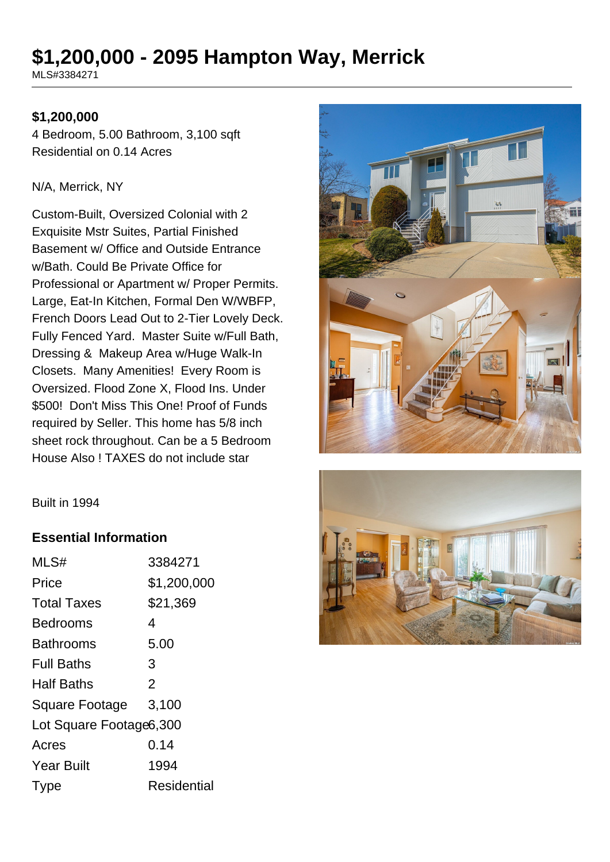# **\$1,200,000 - 2095 Hampton Way, Merrick**

MLS#3384271

#### **\$1,200,000**

4 Bedroom, 5.00 Bathroom, 3,100 sqft Residential on 0.14 Acres

#### N/A, Merrick, NY

Custom-Built, Oversized Colonial with 2 Exquisite Mstr Suites, Partial Finished Basement w/ Office and Outside Entrance w/Bath. Could Be Private Office for Professional or Apartment w/ Proper Permits. Large, Eat-In Kitchen, Formal Den W/WBFP, French Doors Lead Out to 2-Tier Lovely Deck. Fully Fenced Yard. Master Suite w/Full Bath, Dressing & Makeup Area w/Huge Walk-In Closets. Many Amenities! Every Room is Oversized. Flood Zone X, Flood Ins. Under \$500! Don't Miss This One! Proof of Funds required by Seller. This home has 5/8 inch sheet rock throughout. Can be a 5 Bedroom House Also ! TAXES do not include star





#### **Essential Information**

| MLS#                    | 3384271        |  |
|-------------------------|----------------|--|
| Price                   | \$1,200,000    |  |
| <b>Total Taxes</b>      | \$21,369       |  |
| <b>Bedrooms</b>         | 4              |  |
| <b>Bathrooms</b>        | 5.00           |  |
| <b>Full Baths</b>       | 3              |  |
| <b>Half Baths</b>       | $\overline{2}$ |  |
| Square Footage 3,100    |                |  |
| Lot Square Footage6,300 |                |  |
| Acres                   | 0.14           |  |
| <b>Year Built</b>       | 1994           |  |
| <b>Type</b>             | Residential    |  |

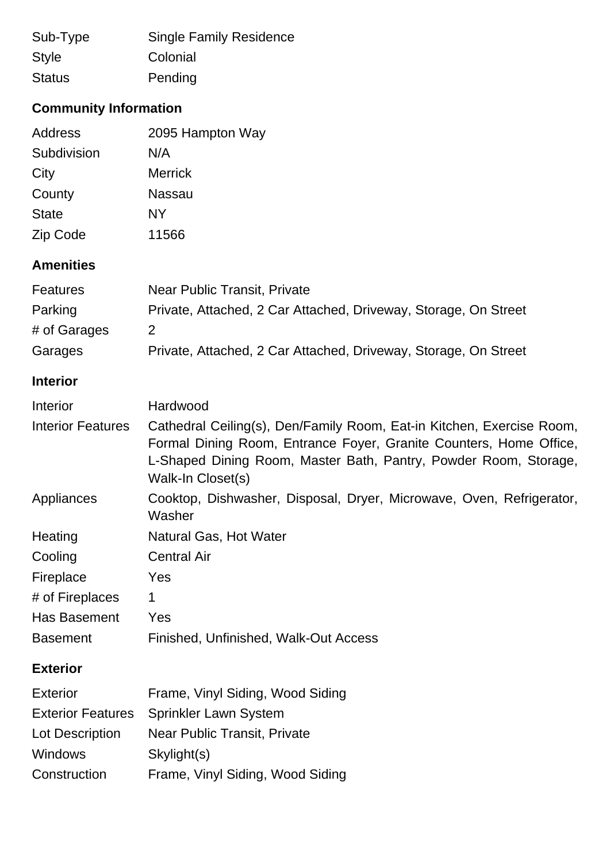| Sub-Type      | <b>Single Family Residence</b> |
|---------------|--------------------------------|
| <b>Style</b>  | Colonial                       |
| <b>Status</b> | Pending                        |

# **Community Information**

| Address      | 2095 Hampton Way |
|--------------|------------------|
| Subdivision  | N/A              |
| City         | <b>Merrick</b>   |
| County       | <b>Nassau</b>    |
| <b>State</b> | NΥ               |
| Zip Code     | 11566            |

## **Amenities**

| <b>Features</b> | Near Public Transit, Private                                    |
|-----------------|-----------------------------------------------------------------|
| Parking         | Private, Attached, 2 Car Attached, Driveway, Storage, On Street |
| # of Garages    | 2                                                               |
| Garages         | Private, Attached, 2 Car Attached, Driveway, Storage, On Street |

# **Interior**

| Interior                 | Hardwood                                                                                                                                                                                                                             |  |
|--------------------------|--------------------------------------------------------------------------------------------------------------------------------------------------------------------------------------------------------------------------------------|--|
| <b>Interior Features</b> | Cathedral Ceiling(s), Den/Family Room, Eat-in Kitchen, Exercise Room,<br>Formal Dining Room, Entrance Foyer, Granite Counters, Home Office,<br>L-Shaped Dining Room, Master Bath, Pantry, Powder Room, Storage,<br>Walk-In Closet(s) |  |
| Appliances               | Cooktop, Dishwasher, Disposal, Dryer, Microwave, Oven, Refrigerator,<br>Washer                                                                                                                                                       |  |
| Heating                  | Natural Gas, Hot Water                                                                                                                                                                                                               |  |
| Cooling                  | <b>Central Air</b>                                                                                                                                                                                                                   |  |
| Fireplace                | Yes                                                                                                                                                                                                                                  |  |
| # of Fireplaces          | 1                                                                                                                                                                                                                                    |  |
| Has Basement             | Yes                                                                                                                                                                                                                                  |  |
| <b>Basement</b>          | Finished, Unfinished, Walk-Out Access                                                                                                                                                                                                |  |
| <b>Exterior</b>          |                                                                                                                                                                                                                                      |  |
| <b>Exterior</b>          | Frame, Vinyl Siding, Wood Siding                                                                                                                                                                                                     |  |
| <b>Exterior Features</b> | <b>Sprinkler Lawn System</b>                                                                                                                                                                                                         |  |
| Lot Description          | Near Public Transit, Private                                                                                                                                                                                                         |  |
| <b>Windows</b>           | Skylight(s)                                                                                                                                                                                                                          |  |
| Construction             | Frame, Vinyl Siding, Wood Siding                                                                                                                                                                                                     |  |